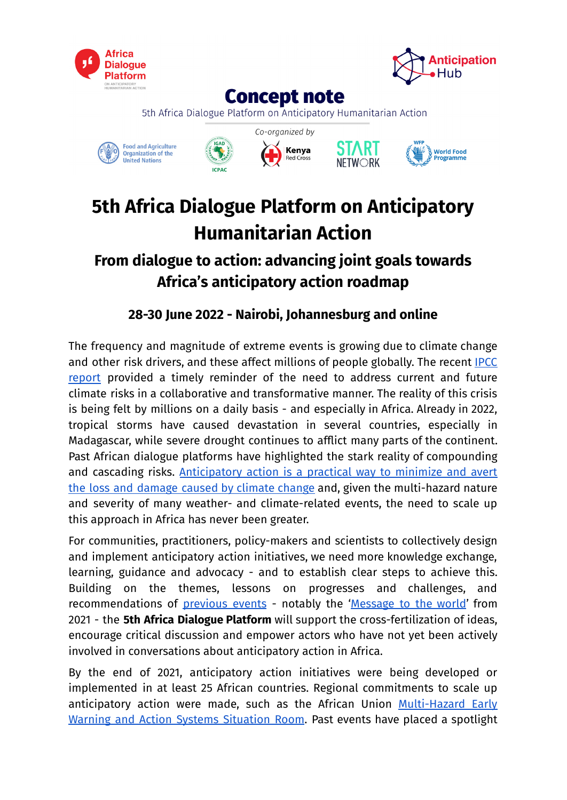



**Concept note** 

5th Africa Dialogue Platform on Anticipatory Humanitarian Action









# **5th Africa Dialogue Platform on Anticipatory Humanitarian Action**

# **From dialogue to action: advancing joint goals towards Africa's anticipatory action roadmap**

**28-30 June 2022 - Nairobi, Johannesburg and online**

The frequency and magnitude of extreme events is growing due to climate change and other risk drivers, and these affect millions of people globally. The recent [IPCC](https://www.ipcc.ch/assessment-report/ar6/) [report](https://www.ipcc.ch/assessment-report/ar6/) provided a timely reminder of the need to address current and future climate risks in a collaborative and transformative manner. The reality of this crisis is being felt by millions on a daily basis - and especially in Africa. Already in 2022, tropical storms have caused devastation in several countries, especially in Madagascar, while severe drought continues to afflict many parts of the continent. Past African dialogue platforms have highlighted the stark reality of compounding and cascading risks. [Anticipatory](https://www.anticipation-hub.org/Documents/Policy_Papers/AATF_Policy_Brief_for_Donor_Governments_May_2021.pdf) action is a practical way to minimize and avert the loss and [damage](https://www.anticipation-hub.org/Documents/Policy_Papers/AATF_Policy_Brief_for_Donor_Governments_May_2021.pdf) caused by climate change and, given the multi-hazard nature and severity of many weather- and climate-related events, the need to scale up this approach in Africa has never been greater.

For communities, practitioners, policy-makers and scientists to collectively design and implement anticipatory action initiatives, we need more knowledge exchange, learning, guidance and advocacy - and to establish clear steps to achieve this. Building on the themes, lessons on progresses and challenges, and recommendations of [previous](https://www.anticipation-hub.org/exchange/dialogue-platforms#c178) events - notably the '[Message](https://www.anticipation-hub.org/Documents/Other/Our_message_to_the_world_ADP2021.pdf) to the world' from 2021 - the **5th Africa Dialogue Platform** will support the cross-fertilization of ideas, encourage critical discussion and empower actors who have not yet been actively involved in conversations about anticipatory action in Africa.

By the end of 2021, anticipatory action initiatives were being developed or implemented in at least 25 African countries. Regional commitments to scale up anticipatory action were made, such as the African Union [Multi-Hazard](https://au.int/en/pressreleases/20220228/africa-marks-turning-point-towards-addressing-disasters-through-its-multi) Early Warning and Action Systems [Situation](https://au.int/en/pressreleases/20220228/africa-marks-turning-point-towards-addressing-disasters-through-its-multi) Room. Past events have placed a spotlight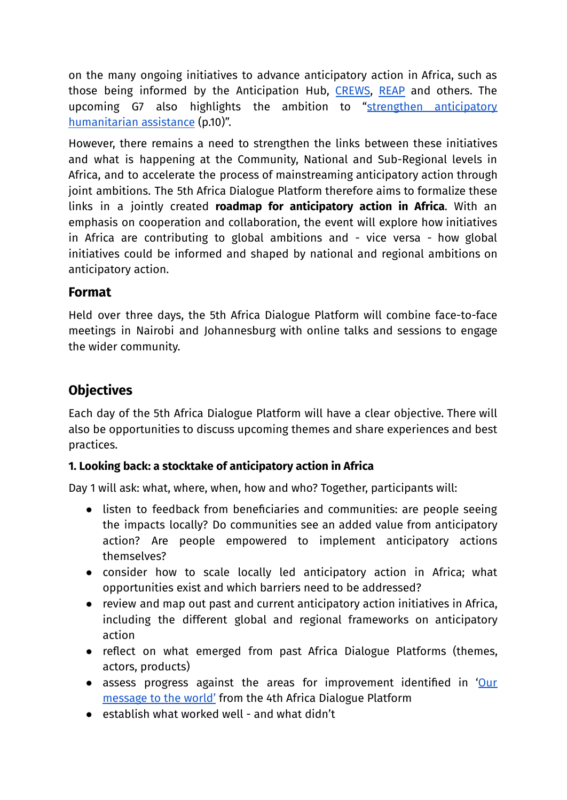on the many ongoing initiatives to advance anticipatory action in Africa, such as those being informed by the Anticipation Hub, [CREWS](https://www.crews-initiative.org/en), [REAP](https://www.early-action-reap.org/who-we-are) and others. The upcoming G7 also highlights the ambition to "strengthen [anticipatory](https://www.bundesregierung.de/resource/blob/998352/2000328/6cb78b73c9f000183e69738c255d9cc9/2022-01-21-g7-programm-en-data.pdf#page=10) [humanitarian](https://www.bundesregierung.de/resource/blob/998352/2000328/6cb78b73c9f000183e69738c255d9cc9/2022-01-21-g7-programm-en-data.pdf#page=10) assistance (p.10)".

However, there remains a need to strengthen the links between these initiatives and what is happening at the Community, National and Sub-Regional levels in Africa, and to accelerate the process of mainstreaming anticipatory action through joint ambitions. The 5th Africa Dialogue Platform therefore aims to formalize these links in a jointly created **roadmap for anticipatory action in Africa**. With an emphasis on cooperation and collaboration, the event will explore how initiatives in Africa are contributing to global ambitions and - vice versa - how global initiatives could be informed and shaped by national and regional ambitions on anticipatory action.

# **Format**

Held over three days, the 5th Africa Dialogue Platform will combine face-to-face meetings in Nairobi and Johannesburg with online talks and sessions to engage the wider community.

# **Objectives**

Each day of the 5th Africa Dialogue Platform will have a clear objective. There will also be opportunities to discuss upcoming themes and share experiences and best practices.

# **1. Looking back: a stocktake of anticipatory action in Africa**

Day 1 will ask: what, where, when, how and who? Together, participants will:

- listen to feedback from beneficiaries and communities: are people seeing the impacts locally? Do communities see an added value from anticipatory action? Are people empowered to implement anticipatory actions themselves?
- consider how to scale locally led anticipatory action in Africa; what opportunities exist and which barriers need to be addressed?
- review and map out past and current anticipatory action initiatives in Africa, including the different global and regional frameworks on anticipatory action
- reflect on what emerged from past Africa Dialogue Platforms (themes, actors, products)
- assess progress against the areas for improvement identified in '[Our](https://www.anticipation-hub.org/Documents/Other/Our_message_to_the_world_ADP2021.pdf) [message](https://www.anticipation-hub.org/Documents/Other/Our_message_to_the_world_ADP2021.pdf) to the world' from the 4th Africa Dialogue Platform
- establish what worked well and what didn't